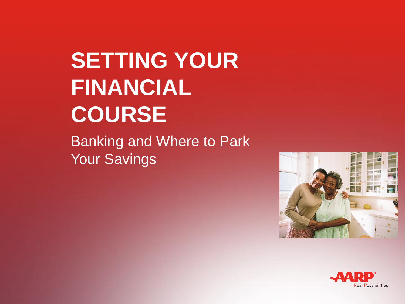# **SETTING YOUR FINANCIAL COURSE**

Banking and Where to Park Your Savings



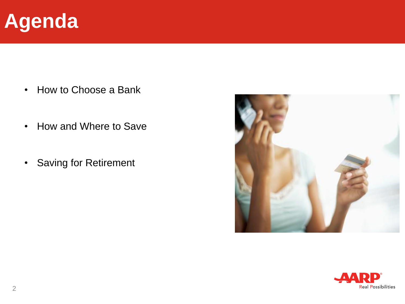

- How to Choose a Bank
- How and Where to Save
- Saving for Retirement



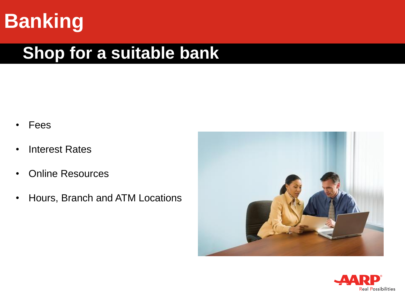## **Banking**

#### **Shop for a suitable bank**

- Fees
- Interest Rates
- Online Resources
- Hours, Branch and ATM Locations



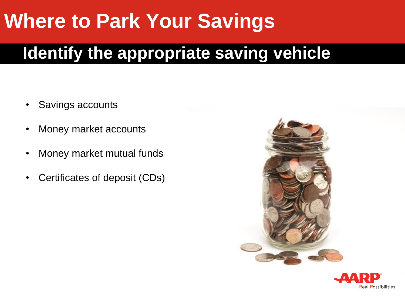## **Where to Park Your Savings**

#### **Identify the appropriate saving vehicle**

- Savings accounts
- Money market accounts
- Money market mutual funds
- Certificates of deposit (CDs)



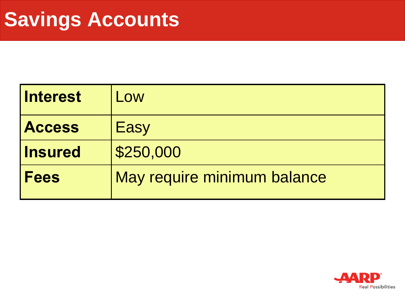| <b>Interest</b> | $\overline{\text{OW}}$      |
|-----------------|-----------------------------|
| <b>Access</b>   | Easy                        |
| <b>Insured</b>  | \$250,000                   |
| <b>Fees</b>     | May require minimum balance |

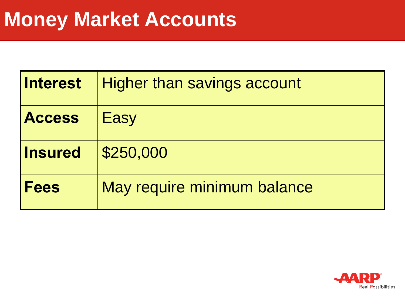| <b>Interest</b> | <b>Higher than savings account</b> |
|-----------------|------------------------------------|
| <b>Access</b>   | Easy                               |
| <b>Insured</b>  | \$250,000                          |
| Fees            | May require minimum balance        |

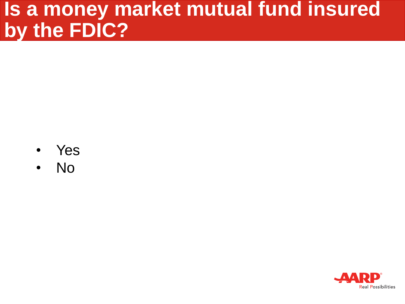#### **Is a money market mutual fund insured by the FDIC?**

- Yes
- No

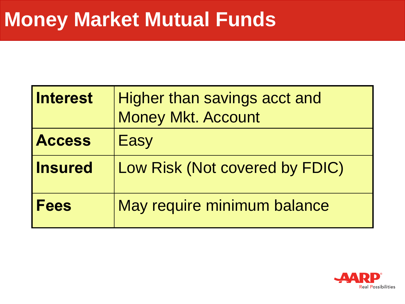| <b>Interest</b> | Higher than savings acct and<br><b>Money Mkt. Account</b> |
|-----------------|-----------------------------------------------------------|
| <b>Access</b>   | Easy                                                      |
| <b>Insured</b>  | Low Risk (Not covered by FDIC)                            |
| <b>Fees</b>     | May require minimum balance                               |

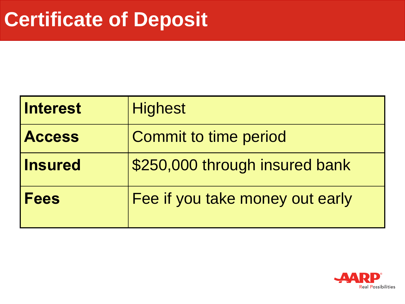| <b>Interest</b> | <b>Highest</b>                  |
|-----------------|---------------------------------|
| <b>Access</b>   | <b>Commit to time period</b>    |
| <b>Insured</b>  | \$250,000 through insured bank  |
| Fees            | Fee if you take money out early |

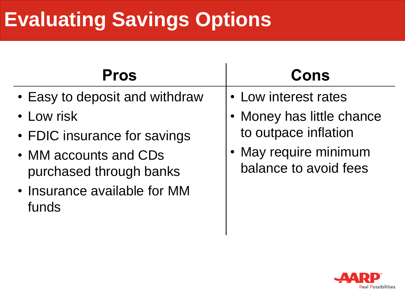## **Evaluating Savings Options**

| <b>Pros</b>                                                                                                                                                      | Cons                                                                                                                        |
|------------------------------------------------------------------------------------------------------------------------------------------------------------------|-----------------------------------------------------------------------------------------------------------------------------|
| • Easy to deposit and withdraw<br>• Low risk<br>• FDIC insurance for savings<br>• MM accounts and CDs<br>purchased through banks<br>• Insurance available for MM | • Low interest rates<br>• Money has little chance<br>to outpace inflation<br>• May require minimum<br>balance to avoid fees |
| funds                                                                                                                                                            |                                                                                                                             |

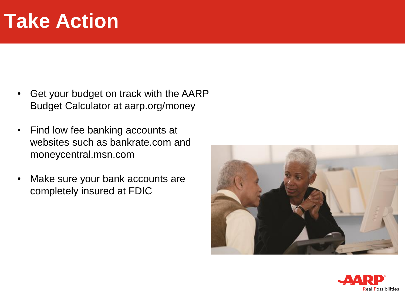### **Take Action**

- Get your budget on track with the AARP Budget Calculator at aarp.org/money
- Find low fee banking accounts at websites such as bankrate.com and moneycentral.msn.com
- Make sure your bank accounts are completely insured at FDIC



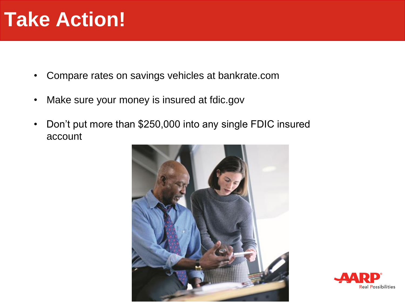## **Take Action!**

- Compare rates on savings vehicles at bankrate.com
- Make sure your money is insured at fdic.gov
- Don't put more than \$250,000 into any single FDIC insured account



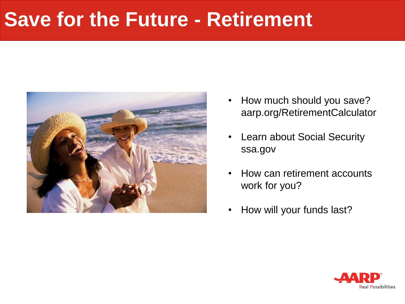#### **Save for the Future - Retirement**



- How much should you save? aarp.org/RetirementCalculator
- Learn about Social Security ssa.gov
- How can retirement accounts work for you?
- How will your funds last?